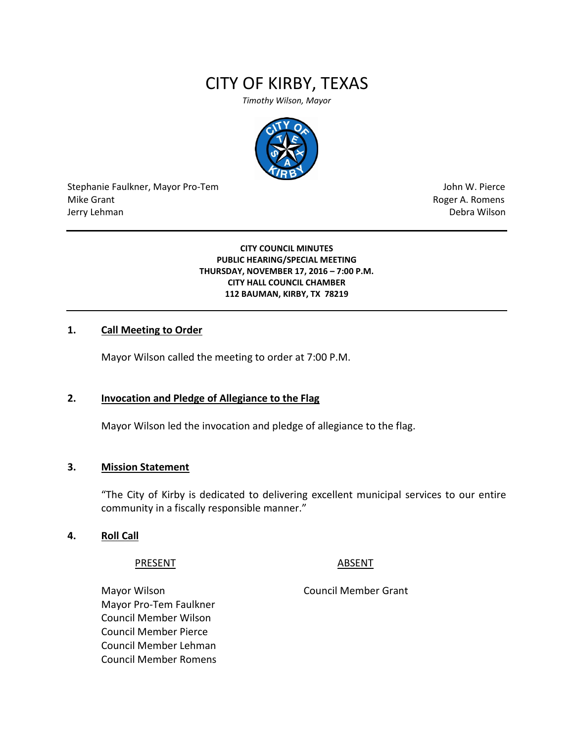# CITY OF KIRBY, TEXAS

*Timothy Wilson, Mayor*



Stephanie Faulkner, Mayor Pro-Tem John W. Pierce Mike Grant **Mike Grant** Roger A. Romens **Contract A. Romens Roger A. Romens** Jerry Lehman Debra Wilson (2008) and the state of the state of the state of the state of the state of the state of the state of the state of the state of the state of the state of the state of the state of the state of the

**CITY COUNCIL MINUTES PUBLIC HEARING/SPECIAL MEETING THURSDAY, NOVEMBER 17, 2016 – 7:00 P.M. CITY HALL COUNCIL CHAMBER 112 BAUMAN, KIRBY, TX 78219**

# **1. Call Meeting to Order**

Mayor Wilson called the meeting to order at 7:00 P.M.

#### **2. Invocation and Pledge of Allegiance to the Flag**

Mayor Wilson led the invocation and pledge of allegiance to the flag.

#### **3. Mission Statement**

"The City of Kirby is dedicated to delivering excellent municipal services to our entire community in a fiscally responsible manner."

#### **4. Roll Call**

#### PRESENT ABSENT

Mayor Wilson **Mayor Wilson** Council Member Grant Mayor Pro-Tem Faulkner Council Member Wilson Council Member Pierce Council Member Lehman Council Member Romens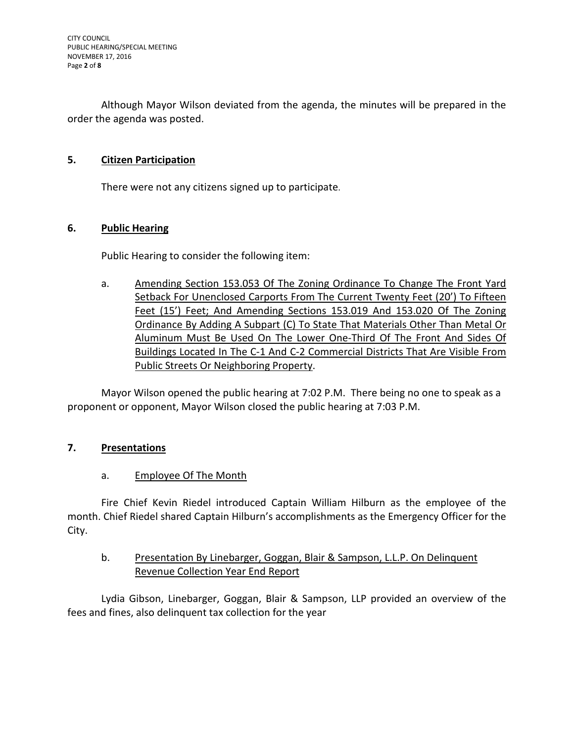Although Mayor Wilson deviated from the agenda, the minutes will be prepared in the order the agenda was posted.

# **5. Citizen Participation**

There were not any citizens signed up to participate.

# **6. Public Hearing**

Public Hearing to consider the following item:

a. Amending Section 153.053 Of The Zoning Ordinance To Change The Front Yard Setback For Unenclosed Carports From The Current Twenty Feet (20') To Fifteen Feet (15') Feet; And Amending Sections 153.019 And 153.020 Of The Zoning Ordinance By Adding A Subpart (C) To State That Materials Other Than Metal Or Aluminum Must Be Used On The Lower One-Third Of The Front And Sides Of Buildings Located In The C-1 And C-2 Commercial Districts That Are Visible From Public Streets Or Neighboring Property.

Mayor Wilson opened the public hearing at 7:02 P.M. There being no one to speak as a proponent or opponent, Mayor Wilson closed the public hearing at 7:03 P.M.

# **7. Presentations**

#### a. Employee Of The Month

Fire Chief Kevin Riedel introduced Captain William Hilburn as the employee of the month. Chief Riedel shared Captain Hilburn's accomplishments as the Emergency Officer for the City.

# b. Presentation By Linebarger, Goggan, Blair & Sampson, L.L.P. On Delinquent Revenue Collection Year End Report

Lydia Gibson, Linebarger, Goggan, Blair & Sampson, LLP provided an overview of the fees and fines, also delinquent tax collection for the year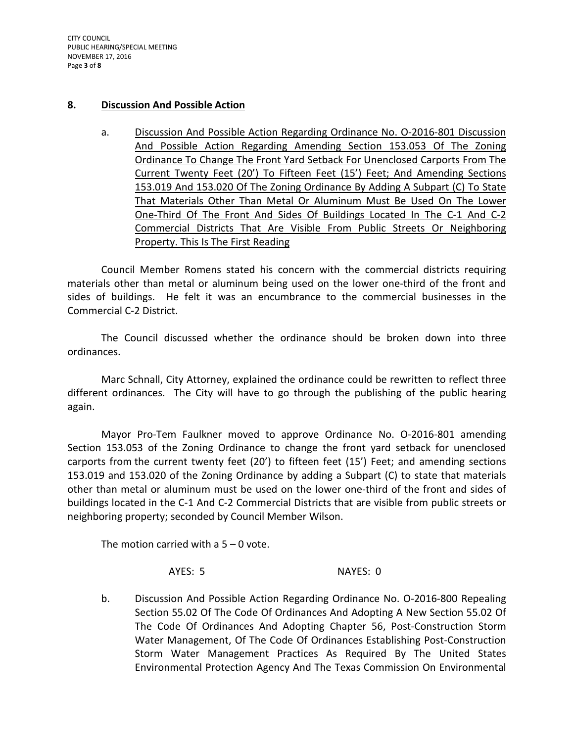CITY COUNCIL PUBLIC HEARING/SPECIAL MEETING NOVEMBER 17, 2016 Page **3** of **8**

#### **8. Discussion And Possible Action**

a. Discussion And Possible Action Regarding Ordinance No. O-2016-801 Discussion And Possible Action Regarding Amending Section 153.053 Of The Zoning Ordinance To Change The Front Yard Setback For Unenclosed Carports From The Current Twenty Feet (20') To Fifteen Feet (15') Feet; And Amending Sections 153.019 And 153.020 Of The Zoning Ordinance By Adding A Subpart (C) To State That Materials Other Than Metal Or Aluminum Must Be Used On The Lower One-Third Of The Front And Sides Of Buildings Located In The C-1 And C-2 Commercial Districts That Are Visible From Public Streets Or Neighboring Property. This Is The First Reading

Council Member Romens stated his concern with the commercial districts requiring materials other than metal or aluminum being used on the lower one-third of the front and sides of buildings. He felt it was an encumbrance to the commercial businesses in the Commercial C-2 District.

The Council discussed whether the ordinance should be broken down into three ordinances.

Marc Schnall, City Attorney, explained the ordinance could be rewritten to reflect three different ordinances. The City will have to go through the publishing of the public hearing again.

Mayor Pro-Tem Faulkner moved to approve Ordinance No. O-2016-801 amending Section 153.053 of the Zoning Ordinance to change the front yard setback for unenclosed carports from the current twenty feet (20') to fifteen feet (15') Feet; and amending sections 153.019 and 153.020 of the Zoning Ordinance by adding a Subpart (C) to state that materials other than metal or aluminum must be used on the lower one-third of the front and sides of buildings located in the C-1 And C-2 Commercial Districts that are visible from public streets or neighboring property; seconded by Council Member Wilson.

The motion carried with a  $5 - 0$  vote.

AYES: 5 NAYES: 0

b. Discussion And Possible Action Regarding Ordinance No. O-2016-800 Repealing Section 55.02 Of The Code Of Ordinances And Adopting A New Section 55.02 Of The Code Of Ordinances And Adopting Chapter 56, Post-Construction Storm Water Management, Of The Code Of Ordinances Establishing Post-Construction Storm Water Management Practices As Required By The United States Environmental Protection Agency And The Texas Commission On Environmental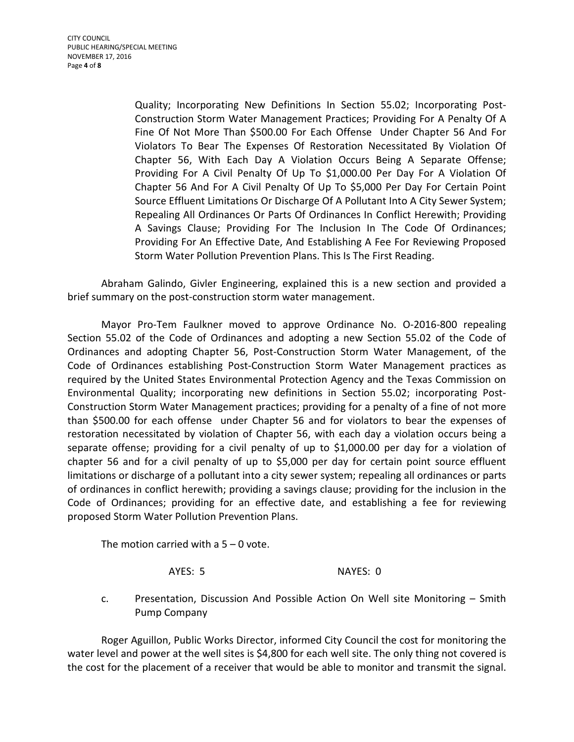Quality; Incorporating New Definitions In Section 55.02; Incorporating Post-Construction Storm Water Management Practices; Providing For A Penalty Of A Fine Of Not More Than \$500.00 For Each Offense Under Chapter 56 And For Violators To Bear The Expenses Of Restoration Necessitated By Violation Of Chapter 56, With Each Day A Violation Occurs Being A Separate Offense; Providing For A Civil Penalty Of Up To \$1,000.00 Per Day For A Violation Of Chapter 56 And For A Civil Penalty Of Up To \$5,000 Per Day For Certain Point Source Effluent Limitations Or Discharge Of A Pollutant Into A City Sewer System; Repealing All Ordinances Or Parts Of Ordinances In Conflict Herewith; Providing A Savings Clause; Providing For The Inclusion In The Code Of Ordinances; Providing For An Effective Date, And Establishing A Fee For Reviewing Proposed Storm Water Pollution Prevention Plans. This Is The First Reading.

Abraham Galindo, Givler Engineering, explained this is a new section and provided a brief summary on the post-construction storm water management.

Mayor Pro-Tem Faulkner moved to approve Ordinance No. O-2016-800 repealing Section 55.02 of the Code of Ordinances and adopting a new Section 55.02 of the Code of Ordinances and adopting Chapter 56, Post-Construction Storm Water Management, of the Code of Ordinances establishing Post-Construction Storm Water Management practices as required by the United States Environmental Protection Agency and the Texas Commission on Environmental Quality; incorporating new definitions in Section 55.02; incorporating Post-Construction Storm Water Management practices; providing for a penalty of a fine of not more than \$500.00 for each offense under Chapter 56 and for violators to bear the expenses of restoration necessitated by violation of Chapter 56, with each day a violation occurs being a separate offense; providing for a civil penalty of up to \$1,000.00 per day for a violation of chapter 56 and for a civil penalty of up to \$5,000 per day for certain point source effluent limitations or discharge of a pollutant into a city sewer system; repealing all ordinances or parts of ordinances in conflict herewith; providing a savings clause; providing for the inclusion in the Code of Ordinances; providing for an effective date, and establishing a fee for reviewing proposed Storm Water Pollution Prevention Plans.

The motion carried with a  $5 - 0$  vote.

AYES: 5 NAYES: 0

c. Presentation, Discussion And Possible Action On Well site Monitoring – Smith Pump Company

Roger Aguillon, Public Works Director, informed City Council the cost for monitoring the water level and power at the well sites is \$4,800 for each well site. The only thing not covered is the cost for the placement of a receiver that would be able to monitor and transmit the signal.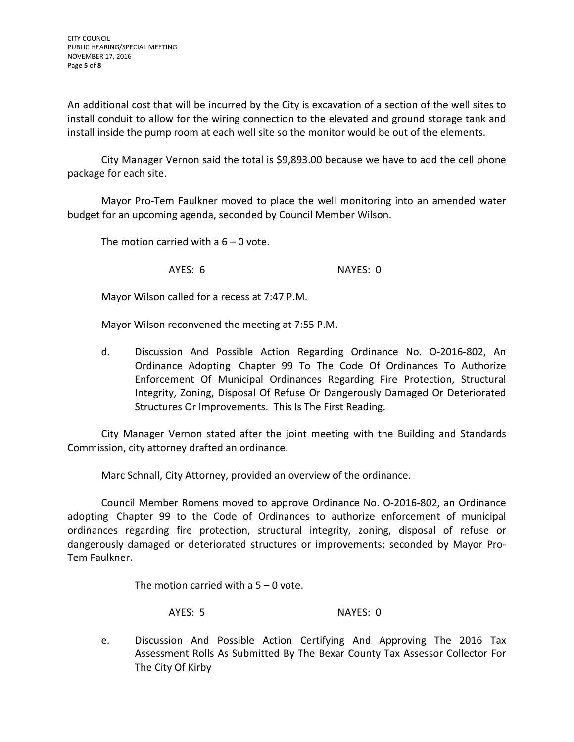An additional cost that will be incurred by the City is excavation of a section of the well sites to install conduit to allow for the wiring connection to the elevated and ground storage tank and install inside the pump room at each well site so the monitor would be out of the elements.

City Manager Vernon said the total is \$9,893.00 because we have to add the cell phone package for each site.

Mayor Pro-Tem Faulkner moved to place the well monitoring into an amended water budget for an upcoming agenda, seconded by Council Member Wilson.

The motion carried with a  $6 - 0$  vote.

AYES: 6 NAYES: 0

Mayor Wilson called for a recess at 7:47 P.M.

Mayor Wilson reconvened the meeting at 7:55 P.M.

d. Discussion And Possible Action Regarding Ordinance No. O-2016-802, An Ordinance Adopting Chapter 99 To The Code Of Ordinances To Authorize Enforcement Of Municipal Ordinances Regarding Fire Protection, Structural Integrity, Zoning, Disposal Of Refuse Or Dangerously Damaged Or Deteriorated Structures Or Improvements. This Is The First Reading.

City Manager Vernon stated after the joint meeting with the Building and Standards Commission, city attorney drafted an ordinance.

Marc Schnall, City Attorney, provided an overview of the ordinance.

Council Member Romens moved to approve Ordinance No. O-2016-802, an Ordinance adopting Chapter 99 to the Code of Ordinances to authorize enforcement of municipal ordinances regarding fire protection, structural integrity, zoning, disposal of refuse or dangerously damaged or deteriorated structures or improvements; seconded by Mayor Pro-Tem Faulkner.

The motion carried with a  $5 - 0$  vote.

AYES: 5 NAYES: 0

e. Discussion And Possible Action Certifying And Approving The 2016 Tax Assessment Rolls As Submitted By The Bexar County Tax Assessor Collector For The City Of Kirby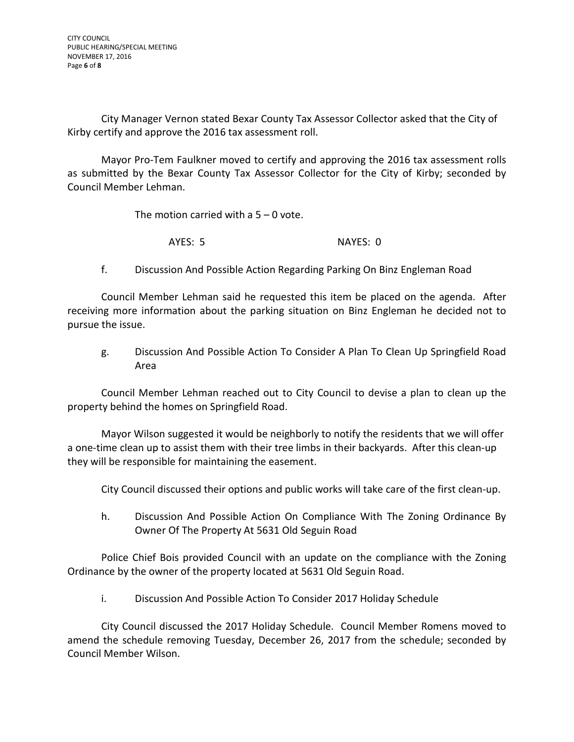City Manager Vernon stated Bexar County Tax Assessor Collector asked that the City of Kirby certify and approve the 2016 tax assessment roll.

Mayor Pro-Tem Faulkner moved to certify and approving the 2016 tax assessment rolls as submitted by the Bexar County Tax Assessor Collector for the City of Kirby; seconded by Council Member Lehman.

The motion carried with a  $5 - 0$  vote.

AYES: 5 NAYES: 0

f. Discussion And Possible Action Regarding Parking On Binz Engleman Road

Council Member Lehman said he requested this item be placed on the agenda. After receiving more information about the parking situation on Binz Engleman he decided not to pursue the issue.

g. Discussion And Possible Action To Consider A Plan To Clean Up Springfield Road Area

Council Member Lehman reached out to City Council to devise a plan to clean up the property behind the homes on Springfield Road.

Mayor Wilson suggested it would be neighborly to notify the residents that we will offer a one-time clean up to assist them with their tree limbs in their backyards. After this clean-up they will be responsible for maintaining the easement.

City Council discussed their options and public works will take care of the first clean-up.

h. Discussion And Possible Action On Compliance With The Zoning Ordinance By Owner Of The Property At 5631 Old Seguin Road

Police Chief Bois provided Council with an update on the compliance with the Zoning Ordinance by the owner of the property located at 5631 Old Seguin Road.

i. Discussion And Possible Action To Consider 2017 Holiday Schedule

City Council discussed the 2017 Holiday Schedule. Council Member Romens moved to amend the schedule removing Tuesday, December 26, 2017 from the schedule; seconded by Council Member Wilson.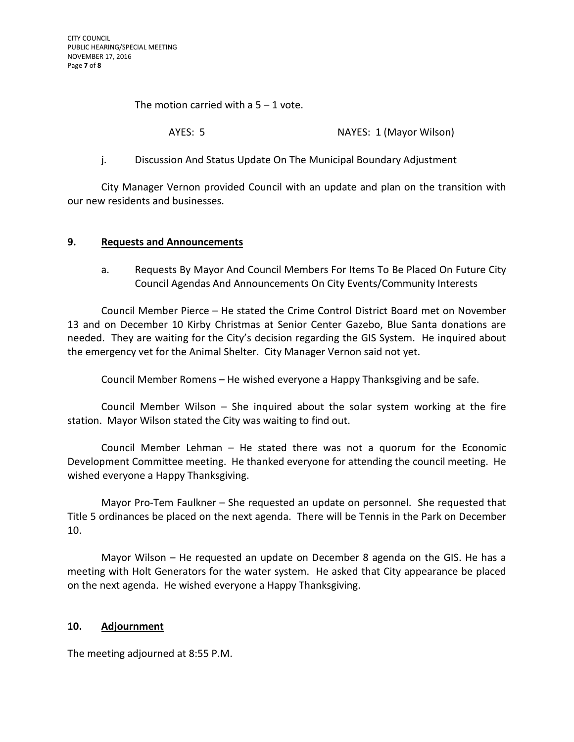The motion carried with a  $5 - 1$  vote.

AYES: 5 NAYES: 1 (Mayor Wilson)

# j. Discussion And Status Update On The Municipal Boundary Adjustment

City Manager Vernon provided Council with an update and plan on the transition with our new residents and businesses.

#### **9. Requests and Announcements**

a. Requests By Mayor And Council Members For Items To Be Placed On Future City Council Agendas And Announcements On City Events/Community Interests

Council Member Pierce – He stated the Crime Control District Board met on November 13 and on December 10 Kirby Christmas at Senior Center Gazebo, Blue Santa donations are needed. They are waiting for the City's decision regarding the GIS System. He inquired about the emergency vet for the Animal Shelter. City Manager Vernon said not yet.

Council Member Romens – He wished everyone a Happy Thanksgiving and be safe.

Council Member Wilson – She inquired about the solar system working at the fire station. Mayor Wilson stated the City was waiting to find out.

Council Member Lehman – He stated there was not a quorum for the Economic Development Committee meeting. He thanked everyone for attending the council meeting. He wished everyone a Happy Thanksgiving.

Mayor Pro-Tem Faulkner – She requested an update on personnel. She requested that Title 5 ordinances be placed on the next agenda. There will be Tennis in the Park on December 10.

Mayor Wilson – He requested an update on December 8 agenda on the GIS. He has a meeting with Holt Generators for the water system. He asked that City appearance be placed on the next agenda. He wished everyone a Happy Thanksgiving.

#### **10. Adjournment**

The meeting adjourned at 8:55 P.M.